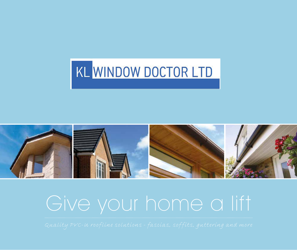## KL WINDOW DOCTOR LTD



# Give your home a lift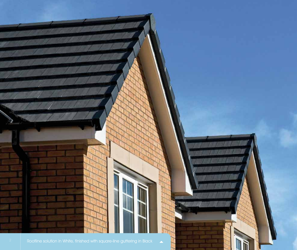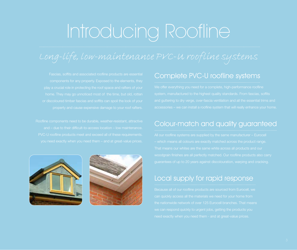# Introducing Roofline





#### Complete PVC-U roofline systems

#### Colour-match and quality guaranteed

#### Local supply for rapid response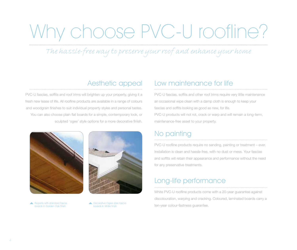# Why choose PVC-U roofline?

*The hassle-free way to preserve your roof and enhance your home*

#### Aesthetic appeal

PVC-U fascias, soffits and roof trims will brighten up your property, giving it a fresh new lease of life. All roofline products are available in a range of colours and woodgrain finishes to suit individual property styles and personal tastes. You can also choose plain flat boards for a simple, contemporary look, or sculpted 'ogee' style options for a more decorative finish.





boards in Golden Oak finish

**A** Decorative Ogee style fascia boards in White finish

#### Low maintenance for life

PVC-U fascias, soffits and other roof trims require very little maintenance an occasional wipe clean with a damp cloth is enough to keep your fascias and soffits looking as good as new, for life. PVC-U products will not rot, crack or warp and will remain a long-term, maintenance-free asset to your property.

#### No painting

PVC-U roofline products require no sanding, painting or treatment – ever. Installation is clean and hassle-free, with no dust or mess. Your fascias and soffits will retain their appearance and performance without the need for any preservative treatments.

#### Long-life performance

White PVC-U roofline products come with a 20-year guarantee against discolouration, warping and cracking. Coloured, laminated boards carry a ▲ Property with standard fascia 
→ Property with standard fascia<br>
boards in Golden Oak finish boards in White finish boards in White finish boards in White finish boards in White finish boards in White finish boards in Wh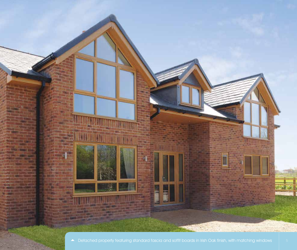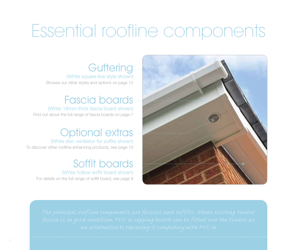## Essential roofline components

**Guttering** 

(White square-line style shown) Browse our other styles and options on page 12

### Fascia boards

(White 18mm thick fascia board shown) Find out about the full range of fascia boards on page 7

## Optional extras

(White disc ventilator for soffits shown) To discover other roofline enhancing products, see page 10

### Soffit boards

(White hollow soffit board shown) For details on the full range of soffit board, see page 8

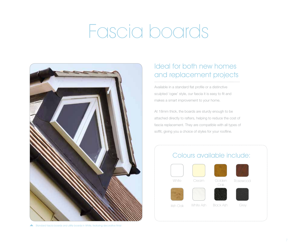# Fascia boards



Standard fascia boards and utility boards in White, featuring decorative finial

#### Ideal for both new homes and replacement projects

Available in a standard flat profile or a distinctive sculpted 'ogee' style, our fascia it is easy to fit and makes a smart improvement to your home.

At 18mm thick, the boards are sturdy enough to be attached directly to rafters, helping to reduce the cost of fascia replacement. They are compatible with all types of soffit, giving you a choice of styles for your roofline.

#### Colours available include:







White Cream Golden Rosewood





Oak





Irish  $\bigcap_{k}$  White Ash

Black Ash Grey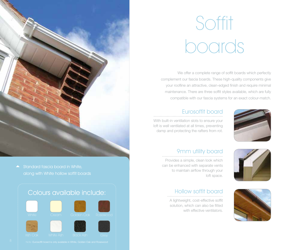# Soffit boards

We offer a complete range of soffit boards which perfectly complement our fascia boards. These high-quality components give your roofline an attractive, clean-edged finish and require minimal maintenance. There are three soffit styles available, which are fully compatible with our fascia systems for an exact colour-match.

#### Eurosoffit board

With built-in ventilation slots to ensure your loft is well ventilated at all times, preventing damp and protecting the rafters from rot.





#### 9mm utility board

Provides a simple, clean look which can be enhanced with separate vents to maintain airflow through your loft space.



### Hollow soffit board

A lightweight, cost-effective soffit solution, which can also be fitted with effective ventilators.



Standard fascia board in White, along with White hollow soffit boards

#### Colours available include:











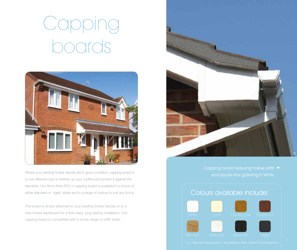# Capping poards



Where your existing timber fascias are in good condition, capping board is a cost-effective way to freshen up your roofline and protect it against the elements. Our 9mm-thick PVC-U capping board is available in a choice of either standard or 'ogee' styles and in a range of colours to suit any home.

The board is simply attached to your existing timber fascias or to a new timber backboard for a first-class, long-lasting installation. Our capping board is compatible with a whole range of soffit styles.



#### Colours available include:













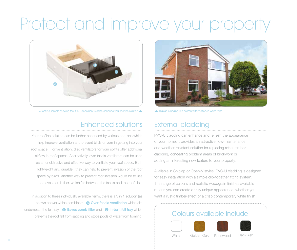## Protect and improve your prope



A roofline sample showing the 3 in 1 accessory used to enhance your roofline solution  $\blacktriangle$  Shiplap cladding in a horizontal formation, in White finish

### Enhanced solutions

Your roofline solution can be further enhanced by various add-ons which help improve ventilation and prevent birds or vermin getting into your roof space. For ventilation, disc ventilators for your soffits offer additional airflow in roof spaces. Alternatively, over-fascia ventilators can be used as an unobtrusive and effective way to ventilate your roof space. Both lightweight and durable, they can help to prevent invasion of the roof space by birds. Another way to prevent roof invasion would be to use an eaves comb filler, which fits between the fascia and the roof tiles.

In addition to these individually available items, there is a 3 in 1 solution (as shown above) which combines: <br> **Over-fascia ventilation** which sits underneath the felt tray,  $\bigcirc$  Eaves comb filler and  $\bigcirc$  In-built felt tray which prevents the roof felt from sagging and stops pools of water from forming.



### External cladding

PVC-U cladding can enhance and refresh the appearance of your home. It provides an attractive, low-maintenance and weather-resistant solution for replacing rotten timber cladding, concealing problem areas of brickwork or adding an interesting new feature to your property.

Available in Shiplap or Open-V styles, PVC-U cladding is designed for easy installation with a simple clip-together fitting system. The range of colours and realistic woodgrain finishes available means you can create a truly unique appearance, whether you want a rustic timber-effect or a crisp contemporary white finish.

### Colours available include:







White Golden Oak Rosewood Black Ash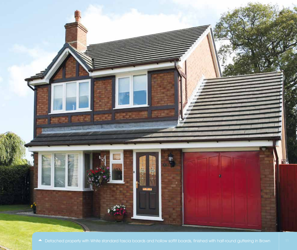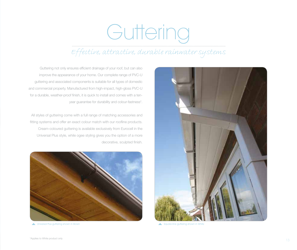# Guttering

### *Effective, attractive, durable rainwater systems*



Guttering not only ensures efficient drainage of your roof, but can also improve the appearance of your home. Our complete range of PVC-U guttering and associated components is suitable for all types of domestic and commercial property. Manufactured from high-impact, high-gloss PVC-U for a durable, weather-proof finish, it is quick to install and comes with a tenyear guarantee for durability and colour-fastness\*.

All styles of guttering come with a full range of matching accessories and fitting systems and offer an exact colour match with our roofline products. Cream-coloured guttering is available exclusively from Eurocell in the Universal Plus style, while ogee styling gives you the option of a more decorative, sculpted finish.



Universal Plus guttering shown in Brown Square-line guttering shown in White Square-line guttering shown in White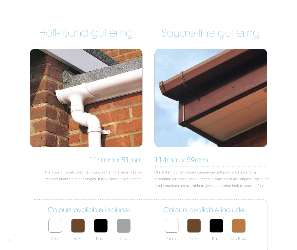### Half-round guttering Square-line guttering



### 114mm x 51mm 114mm x 59mm

The classic, widely used half-round guttering style is ideal for residential buildings of all types. It is available in 4m lengths.



Our stylish, contemporary square-line guttering is suitable for all residential buildings. The guttering is available in 4m lengths. Top-hung fascia brackets are available to give a smoother look to your roofline.





#### 14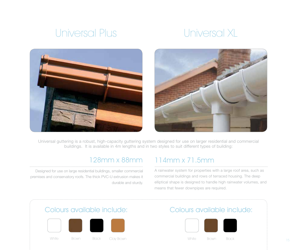### Universal Plus Universal XL





Universal guttering is a robust, high-capacity guttering system designed for use on larger residential and commercial buildings. It is available in 4m lengths and in two styles to suit different types of building:

Designed for use on large residential buildings, smaller commercial premises and conservatory roofs. The thick PVC-U extrusion makes it durable and sturdy.

### 128mm x 88mm 114mm x 71.5mm

A rainwater system for properties with a large roof area, such as commercial buildings and rows of terraced housing. The deep elliptical shape is designed to handle high rainwater volumes, and means that fewer downpipes are required.

### Colours available include: Colours available include:





<sup>15</sup> White Brown Black Clay Brown White Brown Black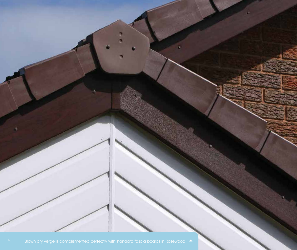ą.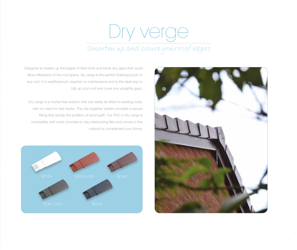## Dry verge *Smarten up and secure your roof edges*

allow infestation of the roof space, dry verge is the perfect finishing touch to any roof. It is weatherproof, requires no maintenance and is the ideal way to tidy up your roof and cover any unsightly gaps. Dry verge is a mortar-free solution that can easily be fitted to existing roofs, with no need for wet trades. The clip-together system provides a secure fitting that avoids the problem of wind uplift. Our PVC-U dry verge is

compatible with most concrete or clay interlocking tiles and comes in five colours to complement your home:

Designed to neaten up the edges of tiled roofs and block any gaps that could



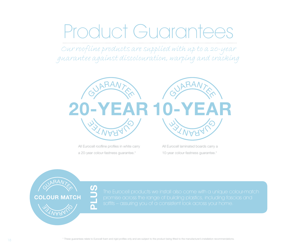## oduct Guarante

*Our roofline products are supplied with up to a 20-year guarantee against discolouration, warping and cracking*



All Eurocell roofline profiles in white carry a 20-year colour-fastness guarantee.\*

 $\overline{\mathsf{n}}$ 

RAN

**AST WARDS** 

COLOUR MATCH

All Eurocell laminated boards carry a 10-year colour-fastness guarantee.\*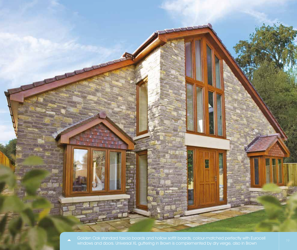